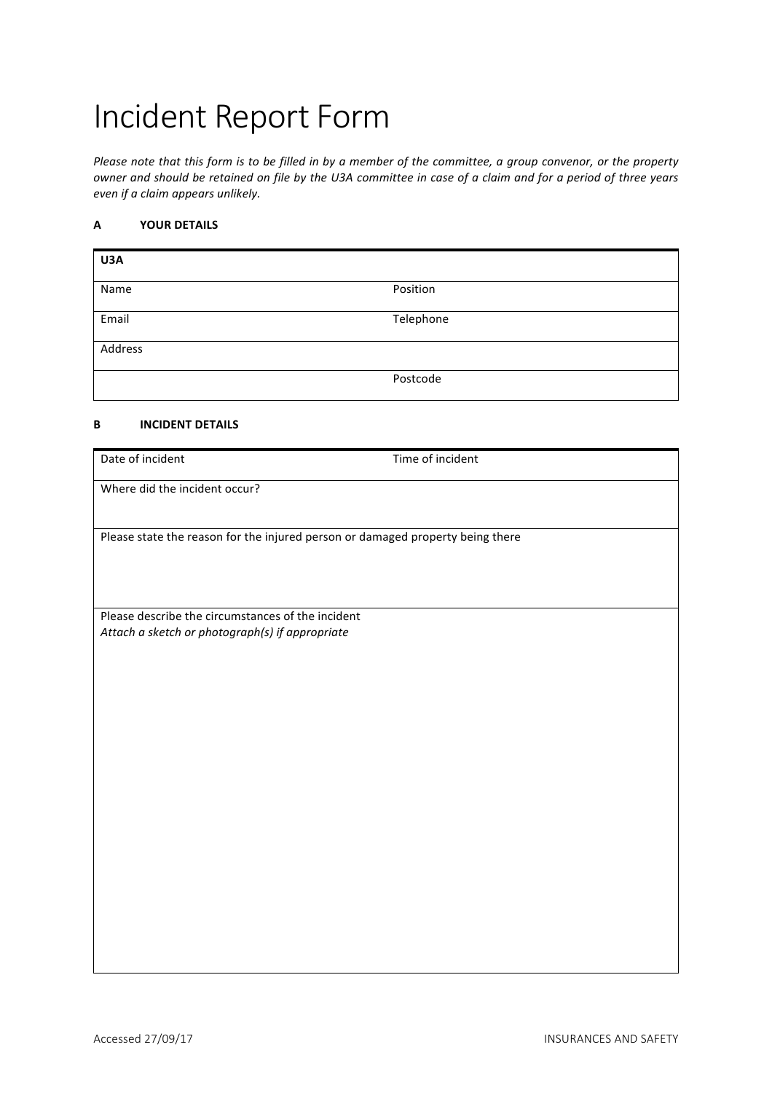# Incident Report Form

*Please note that this form is to be filled in by a member of the committee, a group convenor, or the property owner and should be retained on file by the U3A committee in case of a claim and for a period of three years even if a claim appears unlikely.*

# **A YOUR DETAILS**

| U3A     |           |
|---------|-----------|
| Name    | Position  |
| Email   | Telephone |
| Address |           |
|         | Postcode  |

## **B INCIDENT DETAILS**

| Date of incident                                                                                     | Time of incident |  |
|------------------------------------------------------------------------------------------------------|------------------|--|
| Where did the incident occur?                                                                        |                  |  |
|                                                                                                      |                  |  |
| Please state the reason for the injured person or damaged property being there                       |                  |  |
|                                                                                                      |                  |  |
|                                                                                                      |                  |  |
| Please describe the circumstances of the incident<br>Attach a sketch or photograph(s) if appropriate |                  |  |
|                                                                                                      |                  |  |
|                                                                                                      |                  |  |
|                                                                                                      |                  |  |
|                                                                                                      |                  |  |
|                                                                                                      |                  |  |
|                                                                                                      |                  |  |
|                                                                                                      |                  |  |
|                                                                                                      |                  |  |
|                                                                                                      |                  |  |
|                                                                                                      |                  |  |
|                                                                                                      |                  |  |
|                                                                                                      |                  |  |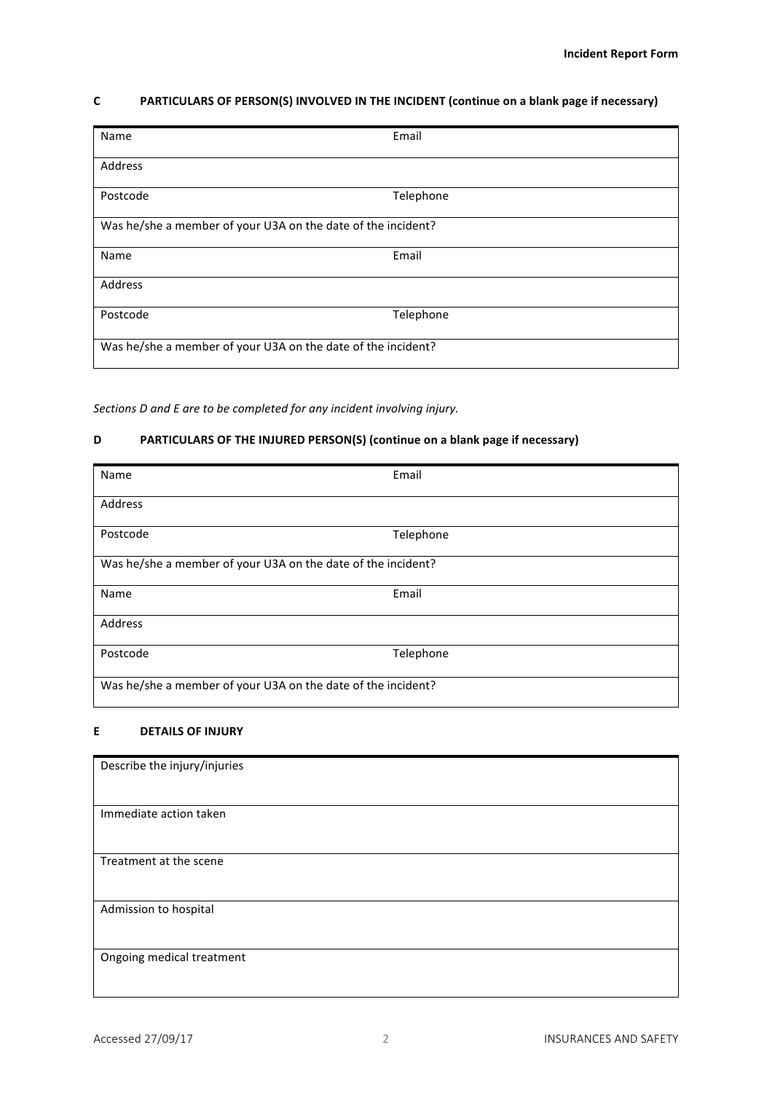## **C PARTICULARS OF PERSON(S) INVOLVED IN THE INCIDENT (continue on a blank page if necessary)**

| Name                                                         | Email     |  |
|--------------------------------------------------------------|-----------|--|
| Address                                                      |           |  |
| Postcode                                                     | Telephone |  |
| Was he/she a member of your U3A on the date of the incident? |           |  |
| Name                                                         | Email     |  |
| Address                                                      |           |  |
| Postcode                                                     | Telephone |  |
| Was he/she a member of your U3A on the date of the incident? |           |  |

Sections *D* and *E* are to be completed for any incident involving injury.

# **D PARTICULARS OF THE INJURED PERSON(S)** (continue on a blank page if necessary)

| Name                                                         | Email     |  |
|--------------------------------------------------------------|-----------|--|
| Address                                                      |           |  |
| Postcode                                                     | Telephone |  |
| Was he/she a member of your U3A on the date of the incident? |           |  |
| Name                                                         | Email     |  |
| Address                                                      |           |  |
| Postcode                                                     | Telephone |  |
| Was he/she a member of your U3A on the date of the incident? |           |  |

#### **E DETAILS OF INJURY**

| Describe the injury/injuries |  |
|------------------------------|--|
| Immediate action taken       |  |
| Treatment at the scene       |  |
| Admission to hospital        |  |
| Ongoing medical treatment    |  |
|                              |  |